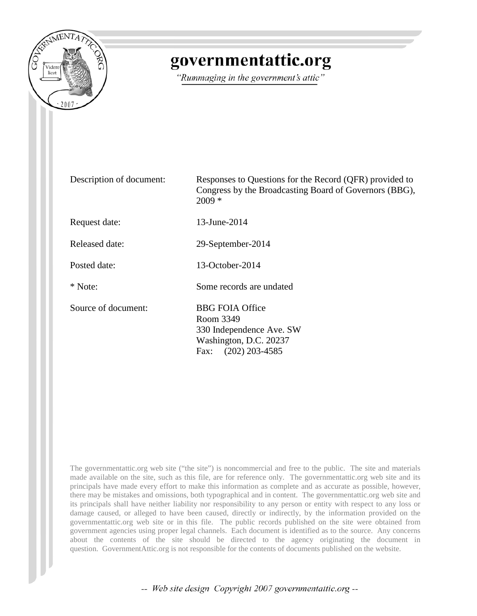

# governmentattic.org

"Rummaging in the government's attic"

| Description of document: | Responses to Questions for the Record (QFR) provided to<br>Congress by the Broadcasting Board of Governors (BBG),<br>$2009 *$ |
|--------------------------|-------------------------------------------------------------------------------------------------------------------------------|
| Request date:            | 13-June-2014                                                                                                                  |
| Released date:           | 29-September-2014                                                                                                             |
| Posted date:             | $13$ -October-2014                                                                                                            |
| * Note:                  | Some records are undated                                                                                                      |
| Source of document:      | <b>BBG FOIA Office</b><br>Room 3349<br>330 Independence Ave. SW<br>Washington, D.C. 20237<br>$(202)$ 203-4585<br>Fax:         |

The governmentattic.org web site ("the site") is noncommercial and free to the public. The site and materials made available on the site, such as this file, are for reference only. The governmentattic.org web site and its principals have made every effort to make this information as complete and as accurate as possible, however, there may be mistakes and omissions, both typographical and in content. The governmentattic.org web site and its principals shall have neither liability nor responsibility to any person or entity with respect to any loss or damage caused, or alleged to have been caused, directly or indirectly, by the information provided on the governmentattic.org web site or in this file. The public records published on the site were obtained from government agencies using proper legal channels. Each document is identified as to the source. Any concerns about the contents of the site should be directed to the agency originating the document in question. GovernmentAttic.org is not responsible for the contents of documents published on the website.

-- Web site design Copyright 2007 governmentattic.org --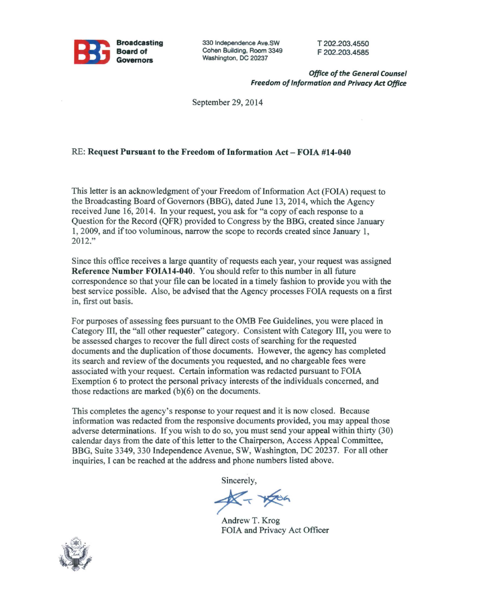

330 Independence Ave.SW Cohen Building, Room 3349 Washington, DC 20237

T 202.203.4550 F 202.203.4585

*Office of the General Counsel Freedom of Information and Privacy Act Office* 

September 29, 2014

#### RE: Request Pursuant to the Freedom of Information Act - FOIA #14-040

This letter is an acknowledgment of your Freedom of Information Act (FOIA) request to the Broadcasting Board of Governors (BBG), dated June 13, 2014, which the Agency received June 16, 2014. In your request, you ask for "a copy of each response to a Question for the Record (QPR) provided to Congress by the BBG, created since January 1, 2009, and if too voluminous, narrow the scope to records created since January 1, 2012."

Since this office receives a large quantity of requests each year, your request was assigned Reference Number FOIA14-040. You should refer to this number in all future correspondence so that your file can be located in a timely fashion to provide you with the best service possible. Also, be advised that the Agency processes FOIA requests on a first in, first out basis.

For purposes of assessing fees pursuant to the OMB Fee Guidelines, you were placed in Category III, the "all other requester" category. Consistent with Category III, you were to be assessed charges to recover the full direct costs of searching for the requested documents and the duplication of those documents. However, the agency has completed its search and review of the documents you requested, and no chargeable fees were associated with your request. Certain information was redacted pursuant to FOIA Exemption 6 to protect the personal privacy interests of the individuals concerned, and those redactions are marked  $(b)(6)$  on the documents.

This completes the agency's response to your request and it is now closed. Because information was redacted from the responsive documents provided, you may appeal those adverse determinations. If you wish to do so, you must send your appeal within thirty (30) calendar days from the date of this letter to the Chairperson, Access Appeal Committee, BBG, Suite 3349, 330 Independence Avenue, SW, Washington, DC 20237. For all other inquiries, I can be reached at the address and phone numbers listed above.

Sincerely,

 $K - x + 66$ 

Andrew T. Krog FOIA and Privacy Act Officer

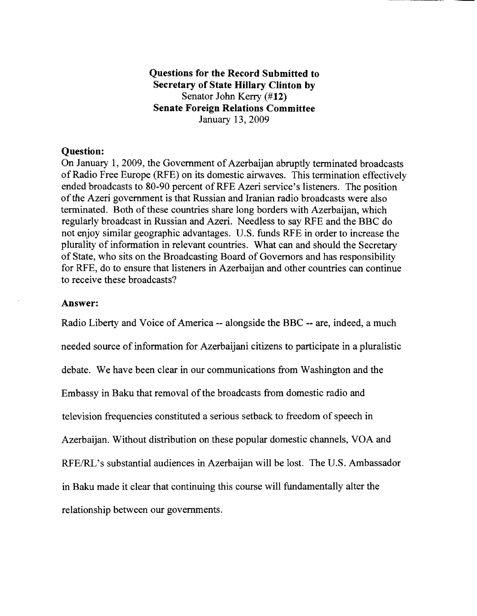## **Questions for the Record Submitted to Secretary of State Hillary Clinton by**  Senator John Kerry **(#12) Senate Foreign Relations Committee**  January 13, 2009

### **Question:**

On January 1, 2009, the Government of Azerbaijan abruptly terminated broadcasts of Radio Free Europe (RFE) on its domestic airwaves. This termination effectively ended broadcasts to 80-90 percent ofRFE Azeri service's listeners. The position of the Azeri government is that Russian and Iranian radio broadcasts were also terminated. Both of these countries share long borders with Azerbaijan, which regularly broadcast in Russian and Azeri. Needless to say RFE and the BBC do not enjoy similar geographic advantages. U.S. funds RFE in order to increase the plurality of information in relevant countries. What can and should the Secretary of State, who sits on the Broadcasting Board of Governors and has responsibility for RFE, do to ensure that listeners in Azerbaijan and other countries can continue to receive these broadcasts?

#### **Answer:**

Radio Liberty and Voice of America -- alongside the BBC -- are, indeed, a much needed source of information for Azerbaijani citizens to participate in a pluralistic debate. We have been clear in our communications from Washington and the Embassy in Baku that removal of the broadcasts from domestic radio and television frequencies constituted a serious setback to freedom of speech in Azerbaijan. Without distribution on these popular domestic channels, VOA and RFE/RL's substantial audiences in Azerbaijan will be lost. The U.S. Ambassador in Baku made it clear that continuing this course will fundamentally alter the relationship between our governments.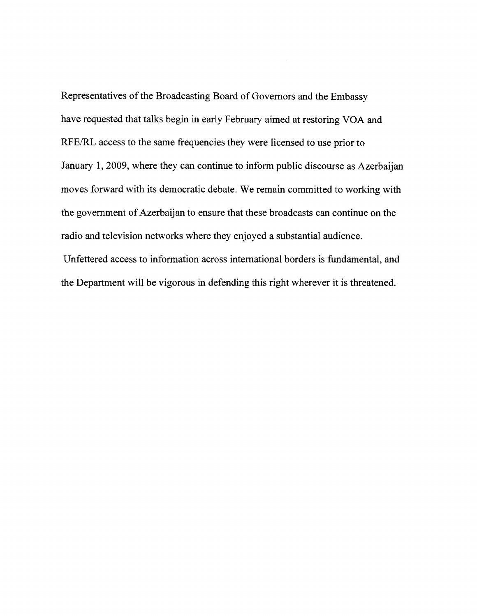Representatives of the Broadcasting Board of Governors and the Embassy have requested that talks begin in early February aimed at restoring VOA and RFE/RL access to the same frequencies they were licensed to use prior to January 1, 2009, where they can continue to inform public discourse as Azerbaijan moves forward with its democratic debate. We remain committed to working with the government of Azerbaijan to ensure that these broadcasts can continue on the radio and television networks where they enjoyed a substantial audience.

Unfettered access to information across international borders is fundamental, and the Department will be vigorous in defending this right wherever it is threatened.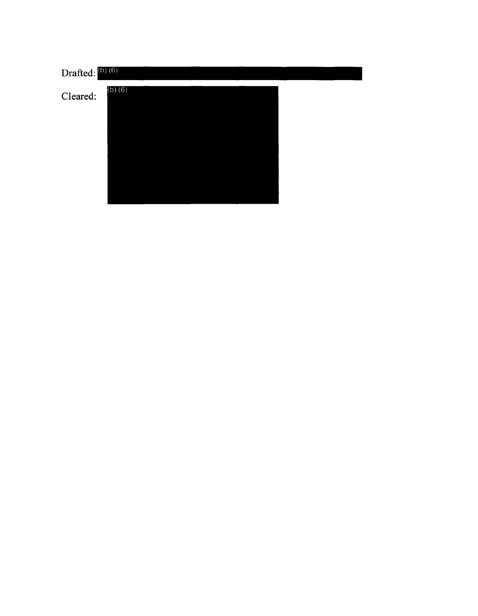| Drafted: (b) (6) |             |  |  |
|------------------|-------------|--|--|
| Cleared:         | $(b)$ $(6)$ |  |  |
|                  |             |  |  |
|                  |             |  |  |
|                  |             |  |  |
|                  |             |  |  |
|                  |             |  |  |
|                  |             |  |  |
|                  |             |  |  |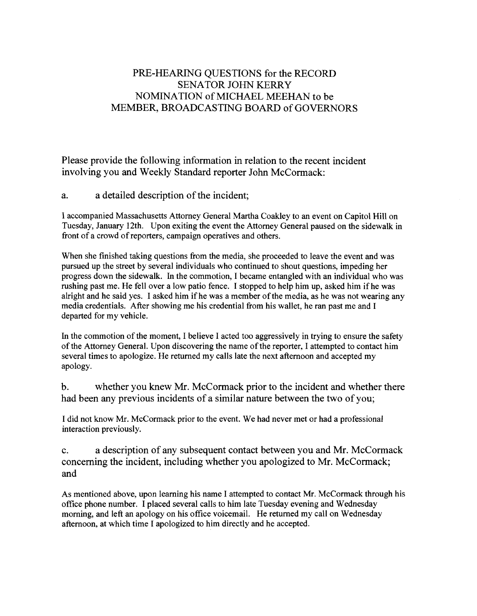# PRE-HEARING QUESTIONS for the RECORD SENATOR JOHN KERRY NOMINATION of MICHAEL MEEHAN to be MEMBER, BROADCASTING BOARD of GOVERNORS

Please provide the following information in relation to the recent incident involving you and Weekly Standard reporter John McCormack:

a. a detailed description of the incident;

I accompanied Massachusetts Attorney General Martha Coakley to an event on Capitol Hill on Tuesday, January 12th. Upon exiting the event the Attorney General paused on the sidewalk in front of a crowd of reporters, campaign operatives and others.

When she finished taking questions from the media, she proceeded to leave the event and was pursued up the street by several individuals who continued to shout questions, impeding her progress down the sidewalk. In the commotion, I became entangled with an individual who was rushing past me. He fell over a low patio fence. I stopped to help him up, asked him ifhe was alright and he said yes. I asked him ifhe was a member of the media, as he was not wearing any media credentials. After showing me his credential from his wallet, he ran past me and I departed for my vehicle.

In the commotion of the moment, I believe I acted too aggressively in trying to ensure the safety of the Attorney General. Upon discovering the name of the reporter, I attempted to contact him several times to apologize. He returned my calls late the next afternoon and accepted my apology.

b. whether you knew Mr. McCormack prior to the incident and whether there had been any previous incidents of a similar nature between the two of you;

I did not know Mr. McCormack prior to the event. We had never met or had a professional interaction previously.

c. a description of any subsequent contact between you and Mr. McCormack concerning the incident, including whether you apologized to Mr. McCormack; and

As mentioned above, upon learning his name I attempted to contact Mr. McCormack through his office phone number. I placed several calls to him late Tuesday evening and Wednesday morning, and left an apology on his office voicemail. He returned my call on Wednesday afternoon, at which time I apologized to him directly and he accepted.